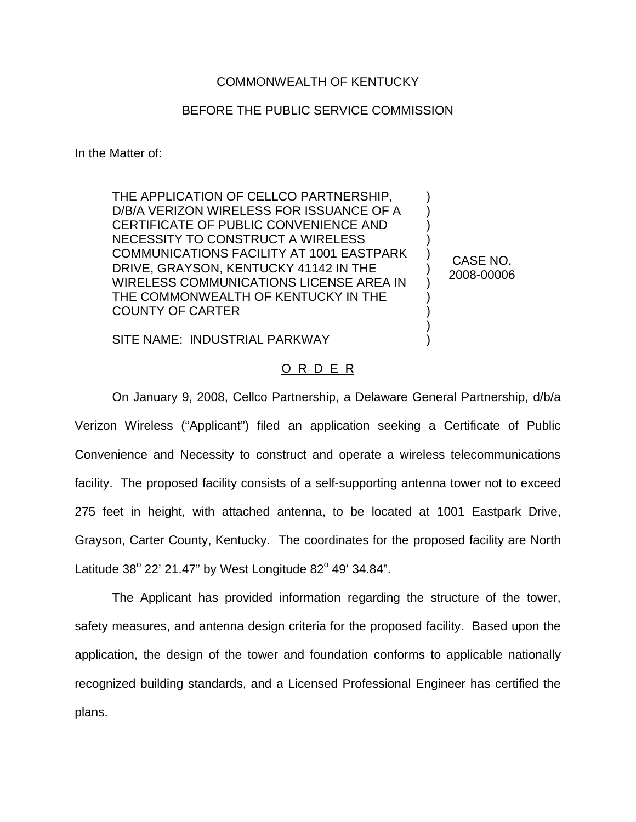## COMMONWEALTH OF KENTUCKY

## BEFORE THE PUBLIC SERVICE COMMISSION

In the Matter of:

THE APPLICATION OF CELLCO PARTNERSHIP, D/B/A VERIZON WIRELESS FOR ISSUANCE OF A CERTIFICATE OF PUBLIC CONVENIENCE AND NECESSITY TO CONSTRUCT A WIRELESS COMMUNICATIONS FACILITY AT 1001 EASTPARK DRIVE, GRAYSON, KENTUCKY 41142 IN THE WIRELESS COMMUNICATIONS LICENSE AREA IN THE COMMONWEALTH OF KENTUCKY IN THE COUNTY OF CARTER

CASE NO. 2008-00006

) ) ) ) ) ) ) ) ) ) )

SITE NAME: INDUSTRIAL PARKWAY

## O R D E R

On January 9, 2008, Cellco Partnership, a Delaware General Partnership, d/b/a Verizon Wireless ("Applicant") filed an application seeking a Certificate of Public Convenience and Necessity to construct and operate a wireless telecommunications facility. The proposed facility consists of a self-supporting antenna tower not to exceed 275 feet in height, with attached antenna, to be located at 1001 Eastpark Drive, Grayson, Carter County, Kentucky. The coordinates for the proposed facility are North Latitude  $38^{\circ}$  22' 21.47" by West Longitude  $82^{\circ}$  49' 34.84".

The Applicant has provided information regarding the structure of the tower, safety measures, and antenna design criteria for the proposed facility. Based upon the application, the design of the tower and foundation conforms to applicable nationally recognized building standards, and a Licensed Professional Engineer has certified the plans.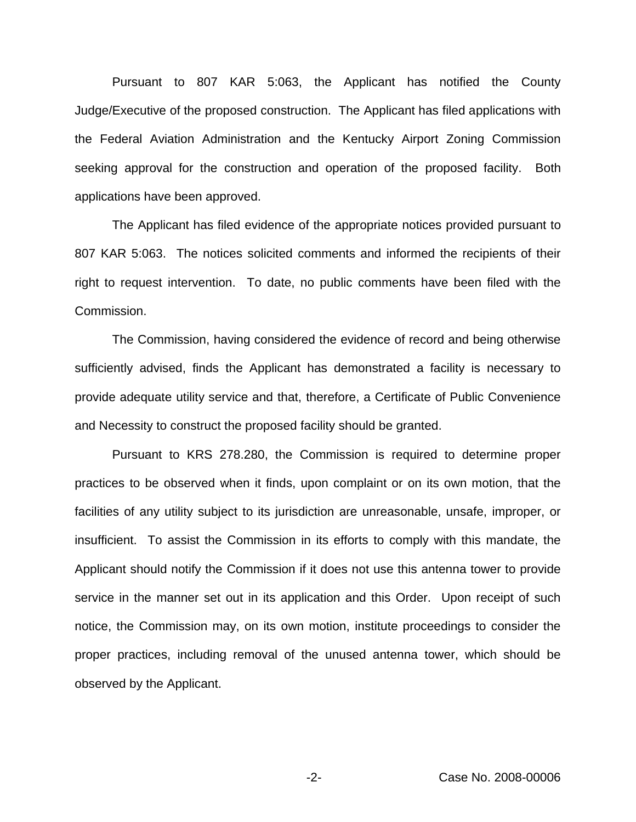Pursuant to 807 KAR 5:063, the Applicant has notified the County Judge/Executive of the proposed construction. The Applicant has filed applications with the Federal Aviation Administration and the Kentucky Airport Zoning Commission seeking approval for the construction and operation of the proposed facility. Both applications have been approved.

The Applicant has filed evidence of the appropriate notices provided pursuant to 807 KAR 5:063. The notices solicited comments and informed the recipients of their right to request intervention. To date, no public comments have been filed with the Commission.

The Commission, having considered the evidence of record and being otherwise sufficiently advised, finds the Applicant has demonstrated a facility is necessary to provide adequate utility service and that, therefore, a Certificate of Public Convenience and Necessity to construct the proposed facility should be granted.

Pursuant to KRS 278.280, the Commission is required to determine proper practices to be observed when it finds, upon complaint or on its own motion, that the facilities of any utility subject to its jurisdiction are unreasonable, unsafe, improper, or insufficient. To assist the Commission in its efforts to comply with this mandate, the Applicant should notify the Commission if it does not use this antenna tower to provide service in the manner set out in its application and this Order. Upon receipt of such notice, the Commission may, on its own motion, institute proceedings to consider the proper practices, including removal of the unused antenna tower, which should be observed by the Applicant.